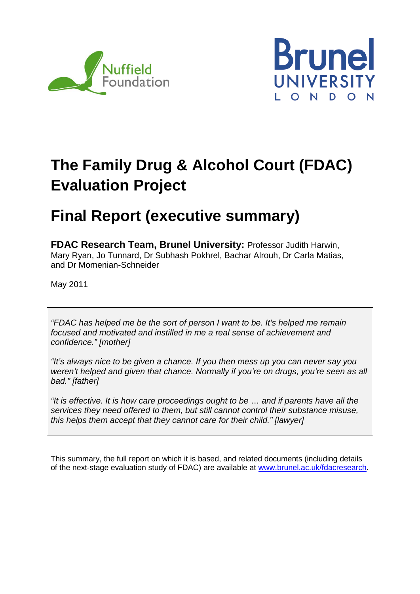



# **The Family Drug & Alcohol Court (FDAC) Evaluation Project**

# **Final Report (executive summary)**

**FDAC Research Team, Brunel University:** Professor Judith Harwin, Mary Ryan, Jo Tunnard, Dr Subhash Pokhrel, Bachar Alrouh, Dr Carla Matias, and Dr Momenian-Schneider

May 2011

*"FDAC has helped me be the sort of person I want to be. It's helped me remain focused and motivated and instilled in me a real sense of achievement and confidence." [mother]*

*"It's always nice to be given a chance. If you then mess up you can never say you weren't helped and given that chance. Normally if you're on drugs, you're seen as all bad." [father]*

*"It is effective. It is how care proceedings ought to be* … *and if parents have all the services they need offered to them, but still cannot control their substance misuse, this helps them accept that they cannot care for their child." [lawyer]*

This summary, the full report on which it is based, and related documents (including details of the next-stage evaluation study of FDAC) are available at [www.brunel.ac.uk/fdacresearch.](http://www.brunel.ac.uk/fdacresearch)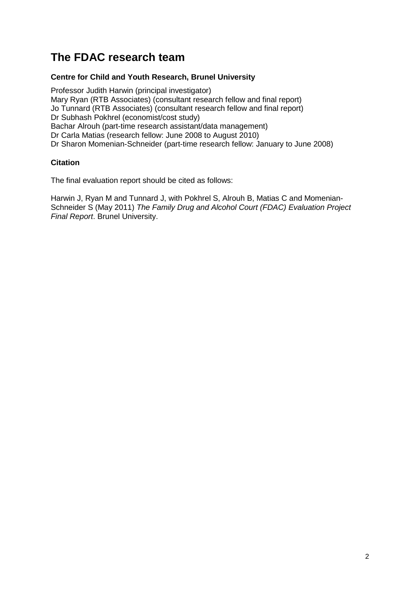# **The FDAC research team**

# **Centre for Child and Youth Research, Brunel University**

Professor Judith Harwin (principal investigator) Mary Ryan (RTB Associates) (consultant research fellow and final report) Jo Tunnard (RTB Associates) (consultant research fellow and final report) Dr Subhash Pokhrel (economist/cost study) Bachar Alrouh (part-time research assistant/data management) Dr Carla Matias (research fellow: June 2008 to August 2010) Dr Sharon Momenian-Schneider (part-time research fellow: January to June 2008)

# **Citation**

The final evaluation report should be cited as follows:

Harwin J, Ryan M and Tunnard J, with Pokhrel S, Alrouh B, Matias C and Momenian-Schneider S (May 2011) *The Family Drug and Alcohol Court (FDAC) Evaluation Project Final Report*. Brunel University.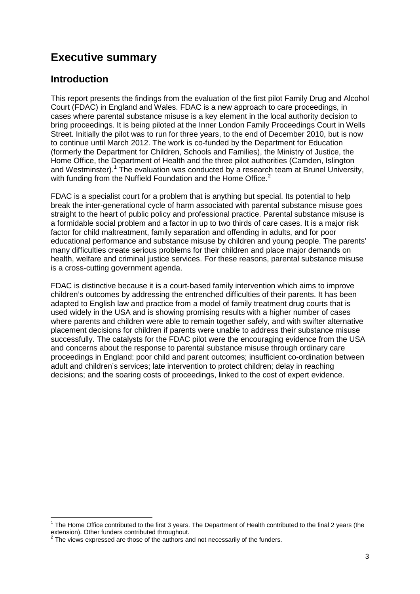# **Executive summary**

# **Introduction**

This report presents the findings from the evaluation of the first pilot Family Drug and Alcohol Court (FDAC) in England and Wales. FDAC is a new approach to care proceedings, in cases where parental substance misuse is a key element in the local authority decision to bring proceedings. It is being piloted at the Inner London Family Proceedings Court in Wells Street. Initially the pilot was to run for three years, to the end of December 2010, but is now to continue until March 2012. The work is co-funded by the Department for Education (formerly the Department for Children, Schools and Families), the Ministry of Justice, the Home Office, the Department of Health and the three pilot authorities (Camden, Islington and Westminster).<sup>[1](#page-2-0)</sup> The evaluation was conducted by a research team at Brunel University, with funding from the Nuffield Foundation and the Home Office.<sup>[2](#page-2-1)</sup>

FDAC is a specialist court for a problem that is anything but special. Its potential to help break the inter-generational cycle of harm associated with parental substance misuse goes straight to the heart of public policy and professional practice. Parental substance misuse is a formidable social problem and a factor in up to two thirds of care cases. It is a major risk factor for child maltreatment, family separation and offending in adults, and for poor educational performance and substance misuse by children and young people. The parents' many difficulties create serious problems for their children and place major demands on health, welfare and criminal justice services. For these reasons, parental substance misuse is a cross-cutting government agenda.

FDAC is distinctive because it is a court-based family intervention which aims to improve children's outcomes by addressing the entrenched difficulties of their parents. It has been adapted to English law and practice from a model of family treatment drug courts that is used widely in the USA and is showing promising results with a higher number of cases where parents and children were able to remain together safely, and with swifter alternative placement decisions for children if parents were unable to address their substance misuse successfully. The catalysts for the FDAC pilot were the encouraging evidence from the USA and concerns about the response to parental substance misuse through ordinary care proceedings in England: poor child and parent outcomes; insufficient co-ordination between adult and children's services; late intervention to protect children; delay in reaching decisions; and the soaring costs of proceedings, linked to the cost of expert evidence.

<span id="page-2-0"></span> $1$  The Home Office contributed to the first 3 years. The Department of Health contributed to the final 2 years (the extension). Other funders contributed throughout.

<span id="page-2-1"></span>The views expressed are those of the authors and not necessarily of the funders.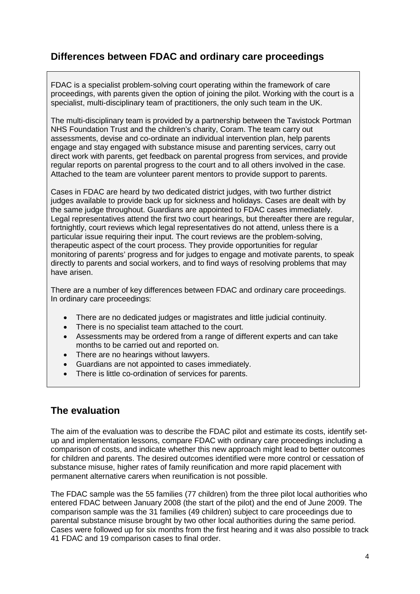# **Differences between FDAC and ordinary care proceedings**

FDAC is a specialist problem-solving court operating within the framework of care proceedings, with parents given the option of joining the pilot. Working with the court is a specialist, multi-disciplinary team of practitioners, the only such team in the UK.

The multi-disciplinary team is provided by a partnership between the Tavistock Portman NHS Foundation Trust and the children's charity, Coram. The team carry out assessments, devise and co-ordinate an individual intervention plan, help parents engage and stay engaged with substance misuse and parenting services, carry out direct work with parents, get feedback on parental progress from services, and provide regular reports on parental progress to the court and to all others involved in the case. Attached to the team are volunteer parent mentors to provide support to parents.

Cases in FDAC are heard by two dedicated district judges, with two further district judges available to provide back up for sickness and holidays. Cases are dealt with by the same judge throughout. Guardians are appointed to FDAC cases immediately. Legal representatives attend the first two court hearings, but thereafter there are regular, fortnightly, court reviews which legal representatives do not attend, unless there is a particular issue requiring their input. The court reviews are the problem-solving, therapeutic aspect of the court process. They provide opportunities for regular monitoring of parents' progress and for judges to engage and motivate parents, to speak directly to parents and social workers, and to find ways of resolving problems that may have arisen.

There are a number of key differences between FDAC and ordinary care proceedings. In ordinary care proceedings:

- There are no dedicated judges or magistrates and little judicial continuity.
- There is no specialist team attached to the court.
- Assessments may be ordered from a range of different experts and can take months to be carried out and reported on.
- There are no hearings without lawyers.
- Guardians are not appointed to cases immediately.
- There is little co-ordination of services for parents.

# **The evaluation**

The aim of the evaluation was to describe the FDAC pilot and estimate its costs, identify setup and implementation lessons, compare FDAC with ordinary care proceedings including a comparison of costs, and indicate whether this new approach might lead to better outcomes for children and parents. The desired outcomes identified were more control or cessation of substance misuse, higher rates of family reunification and more rapid placement with permanent alternative carers when reunification is not possible.

The FDAC sample was the 55 families (77 children) from the three pilot local authorities who entered FDAC between January 2008 (the start of the pilot) and the end of June 2009. The comparison sample was the 31 families (49 children) subject to care proceedings due to parental substance misuse brought by two other local authorities during the same period. Cases were followed up for six months from the first hearing and it was also possible to track 41 FDAC and 19 comparison cases to final order.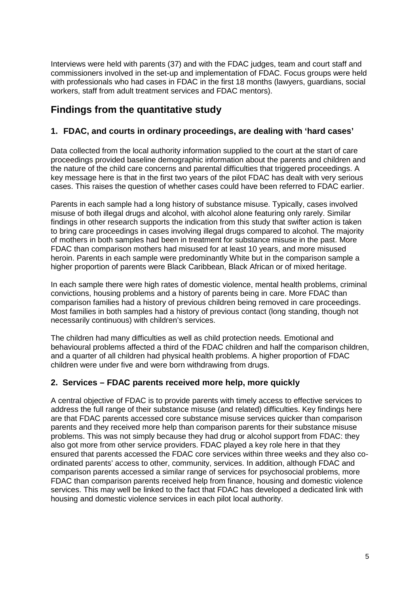Interviews were held with parents (37) and with the FDAC judges, team and court staff and commissioners involved in the set-up and implementation of FDAC. Focus groups were held with professionals who had cases in FDAC in the first 18 months (lawyers, quardians, social workers, staff from adult treatment services and FDAC mentors).

# **Findings from the quantitative study**

# **1. FDAC, and courts in ordinary proceedings, are dealing with 'hard cases'**

Data collected from the local authority information supplied to the court at the start of care proceedings provided baseline demographic information about the parents and children and the nature of the child care concerns and parental difficulties that triggered proceedings. A key message here is that in the first two years of the pilot FDAC has dealt with very serious cases. This raises the question of whether cases could have been referred to FDAC earlier.

Parents in each sample had a long history of substance misuse. Typically, cases involved misuse of both illegal drugs and alcohol, with alcohol alone featuring only rarely. Similar findings in other research supports the indication from this study that swifter action is taken to bring care proceedings in cases involving illegal drugs compared to alcohol. The majority of mothers in both samples had been in treatment for substance misuse in the past. More FDAC than comparison mothers had misused for at least 10 years, and more misused heroin. Parents in each sample were predominantly White but in the comparison sample a higher proportion of parents were Black Caribbean. Black African or of mixed heritage.

In each sample there were high rates of domestic violence, mental health problems, criminal convictions, housing problems and a history of parents being in care. More FDAC than comparison families had a history of previous children being removed in care proceedings. Most families in both samples had a history of previous contact (long standing, though not necessarily continuous) with children's services.

The children had many difficulties as well as child protection needs. Emotional and behavioural problems affected a third of the FDAC children and half the comparison children, and a quarter of all children had physical health problems. A higher proportion of FDAC children were under five and were born withdrawing from drugs.

# **2. Services – FDAC parents received more help, more quickly**

A central objective of FDAC is to provide parents with timely access to effective services to address the full range of their substance misuse (and related) difficulties. Key findings here are that FDAC parents accessed core substance misuse services quicker than comparison parents and they received more help than comparison parents for their substance misuse problems. This was not simply because they had drug or alcohol support from FDAC: they also got more from other service providers. FDAC played a key role here in that they ensured that parents accessed the FDAC core services within three weeks and they also coordinated parents' access to other, community, services. In addition, although FDAC and comparison parents accessed a similar range of services for psychosocial problems, more FDAC than comparison parents received help from finance, housing and domestic violence services. This may well be linked to the fact that FDAC has developed a dedicated link with housing and domestic violence services in each pilot local authority.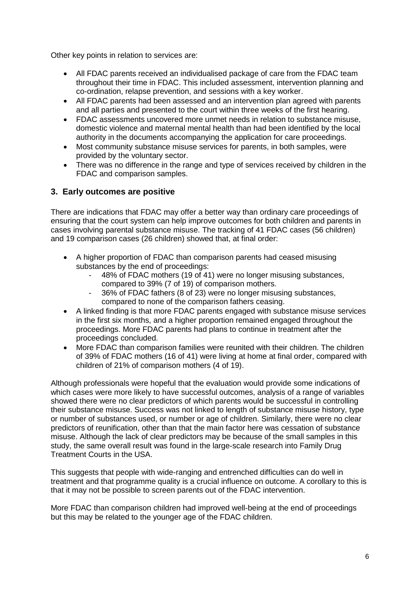Other key points in relation to services are:

- All FDAC parents received an individualised package of care from the FDAC team throughout their time in FDAC. This included assessment, intervention planning and co-ordination, relapse prevention, and sessions with a key worker.
- All FDAC parents had been assessed and an intervention plan agreed with parents and all parties and presented to the court within three weeks of the first hearing.
- FDAC assessments uncovered more unmet needs in relation to substance misuse, domestic violence and maternal mental health than had been identified by the local authority in the documents accompanying the application for care proceedings.
- Most community substance misuse services for parents, in both samples, were provided by the voluntary sector.
- There was no difference in the range and type of services received by children in the FDAC and comparison samples.

# **3. Early outcomes are positive**

There are indications that FDAC may offer a better way than ordinary care proceedings of ensuring that the court system can help improve outcomes for both children and parents in cases involving parental substance misuse. The tracking of 41 FDAC cases (56 children) and 19 comparison cases (26 children) showed that, at final order:

- A higher proportion of FDAC than comparison parents had ceased misusing substances by the end of proceedings:
	- 48% of FDAC mothers (19 of 41) were no longer misusing substances, compared to 39% (7 of 19) of comparison mothers.
	- 36% of FDAC fathers (8 of 23) were no longer misusing substances, compared to none of the comparison fathers ceasing.
- A linked finding is that more FDAC parents engaged with substance misuse services in the first six months, and a higher proportion remained engaged throughout the proceedings. More FDAC parents had plans to continue in treatment after the proceedings concluded.
- More FDAC than comparison families were reunited with their children. The children of 39% of FDAC mothers (16 of 41) were living at home at final order, compared with children of 21% of comparison mothers (4 of 19).

Although professionals were hopeful that the evaluation would provide some indications of which cases were more likely to have successful outcomes, analysis of a range of variables showed there were no clear predictors of which parents would be successful in controlling their substance misuse. Success was not linked to length of substance misuse history, type or number of substances used, or number or age of children. Similarly, there were no clear predictors of reunification, other than that the main factor here was cessation of substance misuse. Although the lack of clear predictors may be because of the small samples in this study, the same overall result was found in the large-scale research into Family Drug Treatment Courts in the USA.

This suggests that people with wide-ranging and entrenched difficulties can do well in treatment and that programme quality is a crucial influence on outcome. A corollary to this is that it may not be possible to screen parents out of the FDAC intervention.

More FDAC than comparison children had improved well-being at the end of proceedings but this may be related to the younger age of the FDAC children.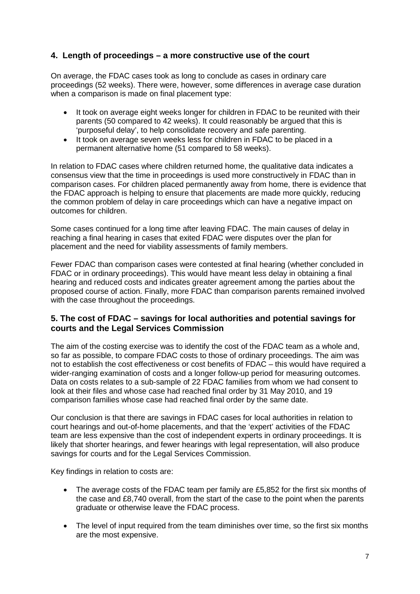# **4. Length of proceedings – a more constructive use of the court**

On average, the FDAC cases took as long to conclude as cases in ordinary care proceedings (52 weeks). There were, however, some differences in average case duration when a comparison is made on final placement type:

- It took on average eight weeks longer for children in FDAC to be reunited with their parents (50 compared to 42 weeks). It could reasonably be argued that this is 'purposeful delay', to help consolidate recovery and safe parenting.
- It took on average seven weeks less for children in FDAC to be placed in a permanent alternative home (51 compared to 58 weeks).

In relation to FDAC cases where children returned home, the qualitative data indicates a consensus view that the time in proceedings is used more constructively in FDAC than in comparison cases. For children placed permanently away from home, there is evidence that the FDAC approach is helping to ensure that placements are made more quickly, reducing the common problem of delay in care proceedings which can have a negative impact on outcomes for children.

Some cases continued for a long time after leaving FDAC. The main causes of delay in reaching a final hearing in cases that exited FDAC were disputes over the plan for placement and the need for viability assessments of family members.

Fewer FDAC than comparison cases were contested at final hearing (whether concluded in FDAC or in ordinary proceedings). This would have meant less delay in obtaining a final hearing and reduced costs and indicates greater agreement among the parties about the proposed course of action. Finally, more FDAC than comparison parents remained involved with the case throughout the proceedings.

# **5. The cost of FDAC – savings for local authorities and potential savings for courts and the Legal Services Commission**

The aim of the costing exercise was to identify the cost of the FDAC team as a whole and, so far as possible, to compare FDAC costs to those of ordinary proceedings. The aim was not to establish the cost effectiveness or cost benefits of FDAC – this would have required a wider-ranging examination of costs and a longer follow-up period for measuring outcomes. Data on costs relates to a sub-sample of 22 FDAC families from whom we had consent to look at their files and whose case had reached final order by 31 May 2010, and 19 comparison families whose case had reached final order by the same date.

Our conclusion is that there are savings in FDAC cases for local authorities in relation to court hearings and out-of-home placements, and that the 'expert' activities of the FDAC team are less expensive than the cost of independent experts in ordinary proceedings. It is likely that shorter hearings, and fewer hearings with legal representation, will also produce savings for courts and for the Legal Services Commission.

Key findings in relation to costs are:

- The average costs of the FDAC team per family are £5,852 for the first six months of the case and £8,740 overall, from the start of the case to the point when the parents graduate or otherwise leave the FDAC process.
- The level of input required from the team diminishes over time, so the first six months are the most expensive.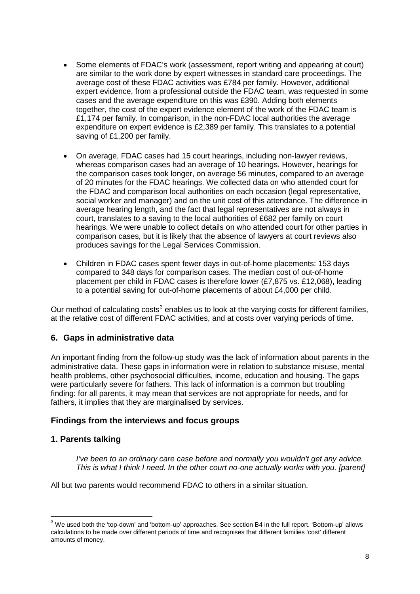- Some elements of FDAC's work (assessment, report writing and appearing at court) are similar to the work done by expert witnesses in standard care proceedings. The average cost of these FDAC activities was £784 per family. However, additional expert evidence, from a professional outside the FDAC team, was requested in some cases and the average expenditure on this was £390. Adding both elements together, the cost of the expert evidence element of the work of the FDAC team is £1,174 per family. In comparison, in the non-FDAC local authorities the average expenditure on expert evidence is £2,389 per family. This translates to a potential saving of £1,200 per family.
- On average, FDAC cases had 15 court hearings, including non-lawyer reviews, whereas comparison cases had an average of 10 hearings. However, hearings for the comparison cases took longer, on average 56 minutes, compared to an average of 20 minutes for the FDAC hearings. We collected data on who attended court for the FDAC and comparison local authorities on each occasion (legal representative, social worker and manager) and on the unit cost of this attendance. The difference in average hearing length, and the fact that legal representatives are not always in court, translates to a saving to the local authorities of £682 per family on court hearings. We were unable to collect details on who attended court for other parties in comparison cases, but it is likely that the absence of lawyers at court reviews also produces savings for the Legal Services Commission.
- Children in FDAC cases spent fewer days in out-of-home placements: 153 days compared to 348 days for comparison cases. The median cost of out-of-home placement per child in FDAC cases is therefore lower (£7,875 vs. £12,068), leading to a potential saving for out-of-home placements of about £4,000 per child.

Our method of calculating costs<sup>[3](#page-7-0)</sup> enables us to look at the varying costs for different families, at the relative cost of different FDAC activities, and at costs over varying periods of time.

# **6. Gaps in administrative data**

An important finding from the follow-up study was the lack of information about parents in the administrative data. These gaps in information were in relation to substance misuse, mental health problems, other psychosocial difficulties, income, education and housing. The gaps were particularly severe for fathers. This lack of information is a common but troubling finding: for all parents, it may mean that services are not appropriate for needs, and for fathers, it implies that they are marginalised by services.

#### **Findings from the interviews and focus groups**

#### **1. Parents talking**

*I've been to an ordinary care case before and normally you wouldn't get any advice. This is what I think I need. In the other court no-one actually works with you. [parent]*

All but two parents would recommend FDAC to others in a similar situation.

<span id="page-7-0"></span> $3$  We used both the 'top-down' and 'bottom-up' approaches. See section B4 in the full report. 'Bottom-up' allows calculations to be made over different periods of time and recognises that different families 'cost' different amounts of money.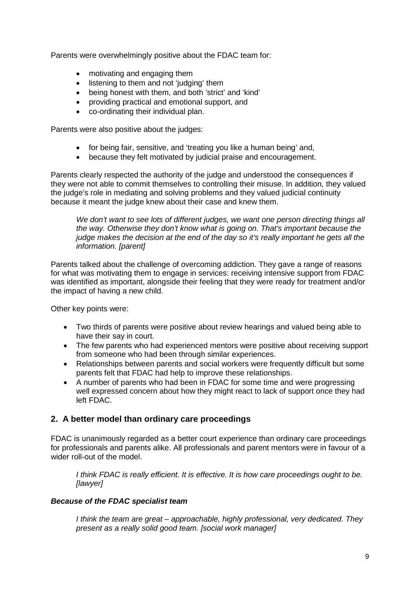Parents were overwhelmingly positive about the FDAC team for:

- motivating and engaging them
- listening to them and not 'judging' them
- being honest with them, and both 'strict' and 'kind'
- providing practical and emotional support, and
- co-ordinating their individual plan.

Parents were also positive about the judges:

- for being fair, sensitive, and 'treating you like a human being' and,
- because they felt motivated by judicial praise and encouragement.

Parents clearly respected the authority of the judge and understood the consequences if they were not able to commit themselves to controlling their misuse. In addition, they valued the judge's role in mediating and solving problems and they valued judicial continuity because it meant the judge knew about their case and knew them.

*We don't want to see lots of different judges, we want one person directing things all the way. Otherwise they don't know what is going on. That's important because the judge makes the decision at the end of the day so it's really important he gets all the information. [parent]*

Parents talked about the challenge of overcoming addiction. They gave a range of reasons for what was motivating them to engage in services: receiving intensive support from FDAC was identified as important, alongside their feeling that they were ready for treatment and/or the impact of having a new child.

Other key points were:

- Two thirds of parents were positive about review hearings and valued being able to have their say in court.
- The few parents who had experienced mentors were positive about receiving support from someone who had been through similar experiences.
- Relationships between parents and social workers were frequently difficult but some parents felt that FDAC had help to improve these relationships.
- A number of parents who had been in FDAC for some time and were progressing well expressed concern about how they might react to lack of support once they had left FDAC.

# **2. A better model than ordinary care proceedings**

FDAC is unanimously regarded as a better court experience than ordinary care proceedings for professionals and parents alike. All professionals and parent mentors were in favour of a wider roll-out of the model

*I think FDAC is really efficient. It is effective. It is how care proceedings ought to be. [lawyer]*

#### *Because of the FDAC specialist team*

*I think the team are great – approachable, highly professional, very dedicated. They present as a really solid good team. [social work manager]*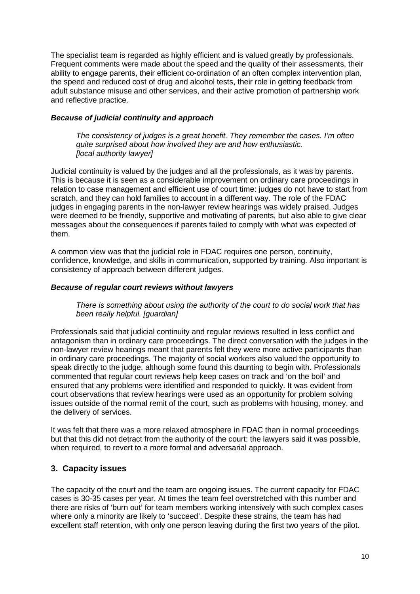The specialist team is regarded as highly efficient and is valued greatly by professionals. Frequent comments were made about the speed and the quality of their assessments, their ability to engage parents, their efficient co-ordination of an often complex intervention plan, the speed and reduced cost of drug and alcohol tests, their role in getting feedback from adult substance misuse and other services, and their active promotion of partnership work and reflective practice.

### *Because of judicial continuity and approach*

*The consistency of judges is a great benefit. They remember the cases. I'm often quite surprised about how involved they are and how enthusiastic. [local authority lawyer]*

Judicial continuity is valued by the judges and all the professionals, as it was by parents. This is because it is seen as a considerable improvement on ordinary care proceedings in relation to case management and efficient use of court time: judges do not have to start from scratch, and they can hold families to account in a different way. The role of the FDAC judges in engaging parents in the non-lawyer review hearings was widely praised. Judges were deemed to be friendly, supportive and motivating of parents, but also able to give clear messages about the consequences if parents failed to comply with what was expected of them.

A common view was that the judicial role in FDAC requires one person, continuity, confidence, knowledge, and skills in communication, supported by training. Also important is consistency of approach between different judges.

# *Because of regular court reviews without lawyers*

*There is something about using the authority of the court to do social work that has been really helpful. [guardian]*

Professionals said that judicial continuity and regular reviews resulted in less conflict and antagonism than in ordinary care proceedings. The direct conversation with the judges in the non-lawyer review hearings meant that parents felt they were more active participants than in ordinary care proceedings. The majority of social workers also valued the opportunity to speak directly to the judge, although some found this daunting to begin with. Professionals commented that regular court reviews help keep cases on track and 'on the boil' and ensured that any problems were identified and responded to quickly. It was evident from court observations that review hearings were used as an opportunity for problem solving issues outside of the normal remit of the court, such as problems with housing, money, and the delivery of services.

It was felt that there was a more relaxed atmosphere in FDAC than in normal proceedings but that this did not detract from the authority of the court: the lawyers said it was possible, when required, to revert to a more formal and adversarial approach.

# **3. Capacity issues**

The capacity of the court and the team are ongoing issues. The current capacity for FDAC cases is 30-35 cases per year. At times the team feel overstretched with this number and there are risks of 'burn out' for team members working intensively with such complex cases where only a minority are likely to 'succeed'. Despite these strains, the team has had excellent staff retention, with only one person leaving during the first two years of the pilot.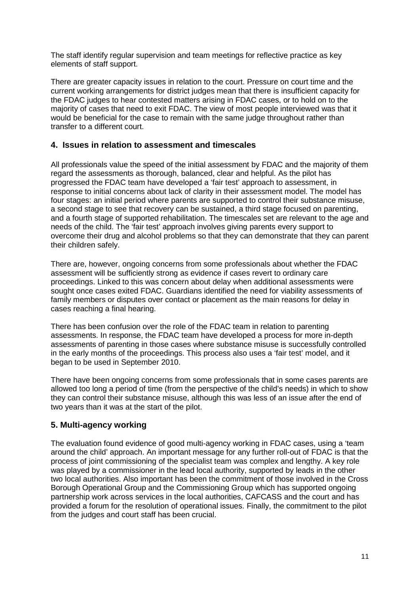The staff identify regular supervision and team meetings for reflective practice as key elements of staff support.

There are greater capacity issues in relation to the court. Pressure on court time and the current working arrangements for district judges mean that there is insufficient capacity for the FDAC judges to hear contested matters arising in FDAC cases, or to hold on to the majority of cases that need to exit FDAC. The view of most people interviewed was that it would be beneficial for the case to remain with the same judge throughout rather than transfer to a different court.

# **4. Issues in relation to assessment and timescales**

All professionals value the speed of the initial assessment by FDAC and the majority of them regard the assessments as thorough, balanced, clear and helpful. As the pilot has progressed the FDAC team have developed a 'fair test' approach to assessment, in response to initial concerns about lack of clarity in their assessment model. The model has four stages: an initial period where parents are supported to control their substance misuse, a second stage to see that recovery can be sustained, a third stage focused on parenting, and a fourth stage of supported rehabilitation. The timescales set are relevant to the age and needs of the child. The 'fair test' approach involves giving parents every support to overcome their drug and alcohol problems so that they can demonstrate that they can parent their children safely.

There are, however, ongoing concerns from some professionals about whether the FDAC assessment will be sufficiently strong as evidence if cases revert to ordinary care proceedings. Linked to this was concern about delay when additional assessments were sought once cases exited FDAC. Guardians identified the need for viability assessments of family members or disputes over contact or placement as the main reasons for delay in cases reaching a final hearing.

There has been confusion over the role of the FDAC team in relation to parenting assessments. In response, the FDAC team have developed a process for more in-depth assessments of parenting in those cases where substance misuse is successfully controlled in the early months of the proceedings. This process also uses a 'fair test' model, and it began to be used in September 2010.

There have been ongoing concerns from some professionals that in some cases parents are allowed too long a period of time (from the perspective of the child's needs) in which to show they can control their substance misuse, although this was less of an issue after the end of two years than it was at the start of the pilot.

# **5. Multi-agency working**

The evaluation found evidence of good multi-agency working in FDAC cases, using a 'team around the child' approach. An important message for any further roll-out of FDAC is that the process of joint commissioning of the specialist team was complex and lengthy. A key role was played by a commissioner in the lead local authority, supported by leads in the other two local authorities. Also important has been the commitment of those involved in the Cross Borough Operational Group and the Commissioning Group which has supported ongoing partnership work across services in the local authorities, CAFCASS and the court and has provided a forum for the resolution of operational issues. Finally, the commitment to the pilot from the judges and court staff has been crucial.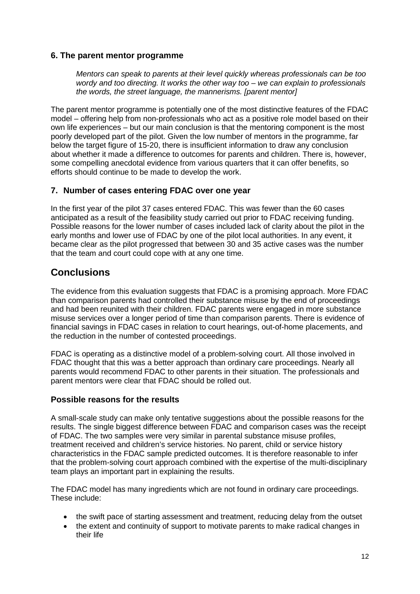# **6. The parent mentor programme**

*Mentors can speak to parents at their level quickly whereas professionals can be too wordy and too directing. It works the other way too – we can explain to professionals the words, the street language, the mannerisms. [parent mentor]*

The parent mentor programme is potentially one of the most distinctive features of the FDAC model – offering help from non-professionals who act as a positive role model based on their own life experiences – but our main conclusion is that the mentoring component is the most poorly developed part of the pilot. Given the low number of mentors in the programme, far below the target figure of 15-20, there is insufficient information to draw any conclusion about whether it made a difference to outcomes for parents and children. There is, however, some compelling anecdotal evidence from various quarters that it can offer benefits, so efforts should continue to be made to develop the work.

# **7. Number of cases entering FDAC over one year**

In the first year of the pilot 37 cases entered FDAC. This was fewer than the 60 cases anticipated as a result of the feasibility study carried out prior to FDAC receiving funding. Possible reasons for the lower number of cases included lack of clarity about the pilot in the early months and lower use of FDAC by one of the pilot local authorities. In any event, it became clear as the pilot progressed that between 30 and 35 active cases was the number that the team and court could cope with at any one time.

# **Conclusions**

The evidence from this evaluation suggests that FDAC is a promising approach. More FDAC than comparison parents had controlled their substance misuse by the end of proceedings and had been reunited with their children. FDAC parents were engaged in more substance misuse services over a longer period of time than comparison parents. There is evidence of financial savings in FDAC cases in relation to court hearings, out-of-home placements, and the reduction in the number of contested proceedings.

FDAC is operating as a distinctive model of a problem-solving court. All those involved in FDAC thought that this was a better approach than ordinary care proceedings. Nearly all parents would recommend FDAC to other parents in their situation. The professionals and parent mentors were clear that FDAC should be rolled out.

# **Possible reasons for the results**

A small-scale study can make only tentative suggestions about the possible reasons for the results. The single biggest difference between FDAC and comparison cases was the receipt of FDAC. The two samples were very similar in parental substance misuse profiles, treatment received and children's service histories. No parent, child or service history characteristics in the FDAC sample predicted outcomes. It is therefore reasonable to infer that the problem-solving court approach combined with the expertise of the multi-disciplinary team plays an important part in explaining the results.

The FDAC model has many ingredients which are not found in ordinary care proceedings. These include:

- the swift pace of starting assessment and treatment, reducing delay from the outset
- the extent and continuity of support to motivate parents to make radical changes in their life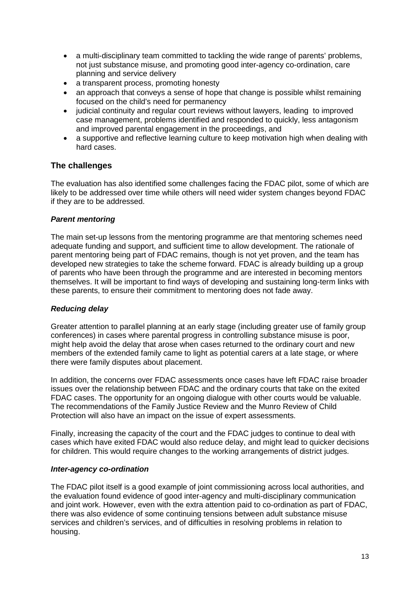- a multi-disciplinary team committed to tackling the wide range of parents' problems, not just substance misuse, and promoting good inter-agency co-ordination, care planning and service delivery
- a transparent process, promoting honesty
- an approach that conveys a sense of hope that change is possible whilst remaining focused on the child's need for permanency
- judicial continuity and regular court reviews without lawyers, leading to improved case management, problems identified and responded to quickly, less antagonism and improved parental engagement in the proceedings, and
- a supportive and reflective learning culture to keep motivation high when dealing with hard cases.

# **The challenges**

The evaluation has also identified some challenges facing the FDAC pilot, some of which are likely to be addressed over time while others will need wider system changes beyond FDAC if they are to be addressed.

#### *Parent mentoring*

The main set-up lessons from the mentoring programme are that mentoring schemes need adequate funding and support, and sufficient time to allow development. The rationale of parent mentoring being part of FDAC remains, though is not yet proven, and the team has developed new strategies to take the scheme forward. FDAC is already building up a group of parents who have been through the programme and are interested in becoming mentors themselves. It will be important to find ways of developing and sustaining long-term links with these parents, to ensure their commitment to mentoring does not fade away.

#### *Reducing delay*

Greater attention to parallel planning at an early stage (including greater use of family group conferences) in cases where parental progress in controlling substance misuse is poor, might help avoid the delay that arose when cases returned to the ordinary court and new members of the extended family came to light as potential carers at a late stage, or where there were family disputes about placement.

In addition, the concerns over FDAC assessments once cases have left FDAC raise broader issues over the relationship between FDAC and the ordinary courts that take on the exited FDAC cases. The opportunity for an ongoing dialogue with other courts would be valuable. The recommendations of the Family Justice Review and the Munro Review of Child Protection will also have an impact on the issue of expert assessments.

Finally, increasing the capacity of the court and the FDAC judges to continue to deal with cases which have exited FDAC would also reduce delay, and might lead to quicker decisions for children. This would require changes to the working arrangements of district judges.

#### *Inter-agency co-ordination*

The FDAC pilot itself is a good example of joint commissioning across local authorities, and the evaluation found evidence of good inter-agency and multi-disciplinary communication and joint work. However, even with the extra attention paid to co-ordination as part of FDAC, there was also evidence of some continuing tensions between adult substance misuse services and children's services, and of difficulties in resolving problems in relation to housing.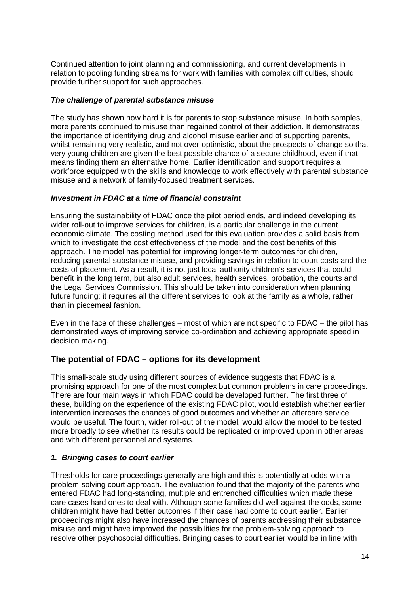Continued attention to joint planning and commissioning, and current developments in relation to pooling funding streams for work with families with complex difficulties, should provide further support for such approaches.

### *The challenge of parental substance misuse*

The study has shown how hard it is for parents to stop substance misuse. In both samples, more parents continued to misuse than regained control of their addiction. It demonstrates the importance of identifying drug and alcohol misuse earlier and of supporting parents, whilst remaining very realistic, and not over-optimistic, about the prospects of change so that very young children are given the best possible chance of a secure childhood, even if that means finding them an alternative home. Earlier identification and support requires a workforce equipped with the skills and knowledge to work effectively with parental substance misuse and a network of family-focused treatment services.

# *Investment in FDAC at a time of financial constraint*

Ensuring the sustainability of FDAC once the pilot period ends, and indeed developing its wider roll-out to improve services for children, is a particular challenge in the current economic climate. The costing method used for this evaluation provides a solid basis from which to investigate the cost effectiveness of the model and the cost benefits of this approach. The model has potential for improving longer-term outcomes for children, reducing parental substance misuse, and providing savings in relation to court costs and the costs of placement. As a result, it is not just local authority children's services that could benefit in the long term, but also adult services, health services, probation, the courts and the Legal Services Commission. This should be taken into consideration when planning future funding: it requires all the different services to look at the family as a whole, rather than in piecemeal fashion.

Even in the face of these challenges – most of which are not specific to FDAC – the pilot has demonstrated ways of improving service co-ordination and achieving appropriate speed in decision making.

# **The potential of FDAC – options for its development**

This small-scale study using different sources of evidence suggests that FDAC is a promising approach for one of the most complex but common problems in care proceedings. There are four main ways in which FDAC could be developed further. The first three of these, building on the experience of the existing FDAC pilot, would establish whether earlier intervention increases the chances of good outcomes and whether an aftercare service would be useful. The fourth, wider roll-out of the model, would allow the model to be tested more broadly to see whether its results could be replicated or improved upon in other areas and with different personnel and systems.

#### *1. Bringing cases to court earlier*

Thresholds for care proceedings generally are high and this is potentially at odds with a problem-solving court approach. The evaluation found that the majority of the parents who entered FDAC had long-standing, multiple and entrenched difficulties which made these care cases hard ones to deal with. Although some families did well against the odds, some children might have had better outcomes if their case had come to court earlier. Earlier proceedings might also have increased the chances of parents addressing their substance misuse and might have improved the possibilities for the problem-solving approach to resolve other psychosocial difficulties. Bringing cases to court earlier would be in line with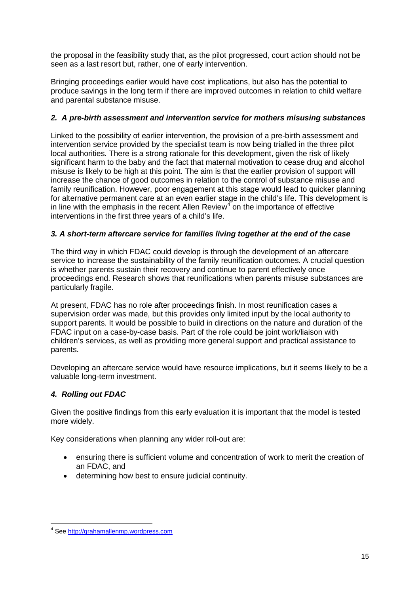the proposal in the feasibility study that, as the pilot progressed, court action should not be seen as a last resort but, rather, one of early intervention.

Bringing proceedings earlier would have cost implications, but also has the potential to produce savings in the long term if there are improved outcomes in relation to child welfare and parental substance misuse.

# *2. A pre-birth assessment and intervention service for mothers misusing substances*

Linked to the possibility of earlier intervention, the provision of a pre-birth assessment and intervention service provided by the specialist team is now being trialled in the three pilot local authorities. There is a strong rationale for this development, given the risk of likely significant harm to the baby and the fact that maternal motivation to cease drug and alcohol misuse is likely to be high at this point. The aim is that the earlier provision of support will increase the chance of good outcomes in relation to the control of substance misuse and family reunification. However, poor engagement at this stage would lead to quicker planning for alternative permanent care at an even earlier stage in the child's life. This development is in line with the emphasis in the recent Allen  $\text{Review}^4$  $\text{Review}^4$  on the importance of effective interventions in the first three years of a child's life.

# *3. A short-term aftercare service for families living together at the end of the case*

The third way in which FDAC could develop is through the development of an aftercare service to increase the sustainability of the family reunification outcomes. A crucial question is whether parents sustain their recovery and continue to parent effectively once proceedings end. Research shows that reunifications when parents misuse substances are particularly fragile.

At present, FDAC has no role after proceedings finish. In most reunification cases a supervision order was made, but this provides only limited input by the local authority to support parents. It would be possible to build in directions on the nature and duration of the FDAC input on a case-by-case basis. Part of the role could be joint work/liaison with children's services, as well as providing more general support and practical assistance to parents.

Developing an aftercare service would have resource implications, but it seems likely to be a valuable long-term investment.

# *4. Rolling out FDAC*

Given the positive findings from this early evaluation it is important that the model is tested more widely.

Key considerations when planning any wider roll-out are:

- ensuring there is sufficient volume and concentration of work to merit the creation of an FDAC, and
- determining how best to ensure judicial continuity.

<span id="page-14-0"></span> <sup>4</sup> See [http://grahamallenmp.wordpress.com](http://grahamallenmp.wordpress.com/)